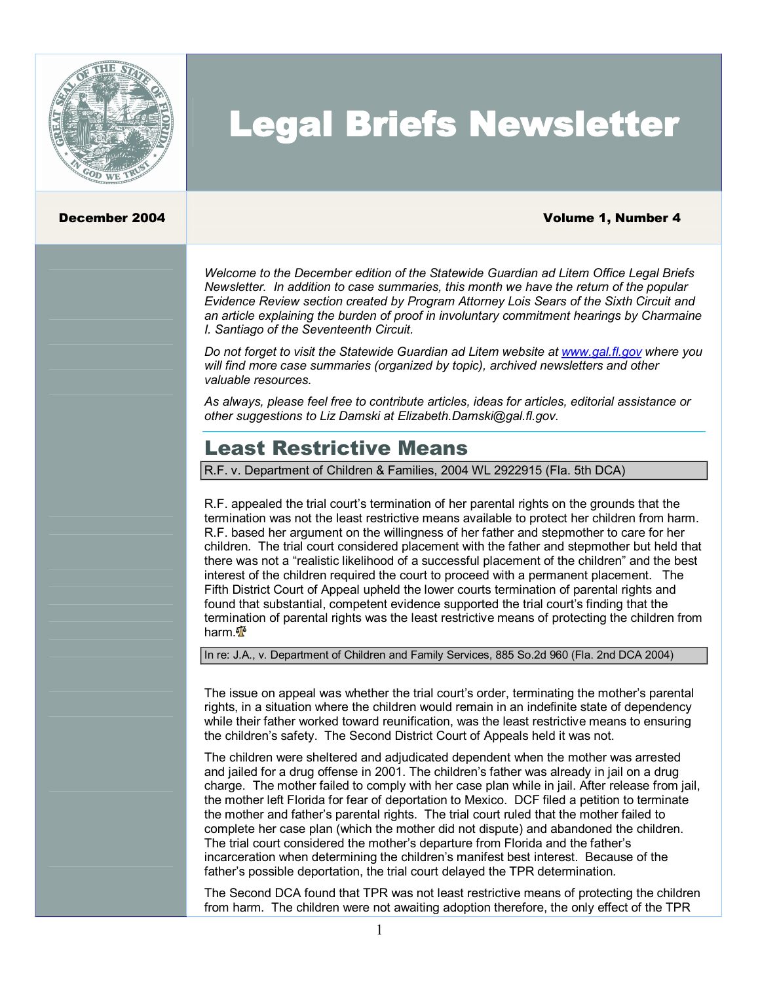

# Legal Briefs Newsletter

#### December 2004 **Volume 1, Number 4**

*Welcome to the December edition of the Statewide Guardian ad Litem Office Legal Briefs Newsletter. In addition to case summaries, this month we have the return of the popular Evidence Review section created by Program Attorney Lois Sears of the Sixth Circuit and an article explaining the burden of proof in involuntary commitment hearings by Charmaine I. Santiago of the Seventeenth Circuit.*

*Do not forget to visit the Statewide Guardian ad Litem website at [www.gal.fl.gov](http://www.gal.fl.gov/) where you will find more case summaries (organized by topic), archived newsletters and other valuable resources.*

*As always, please feel free to contribute articles, ideas for articles, editorial assistance or other suggestions to Liz Damski at Elizabeth.Damski@gal.fl.gov.*

# Least Restrictive Means

R.F. v. Department of Children & Families, 2004 WL 2922915 (Fla. 5th DCA)

R.F. appealed the trial court's termination of her parental rights on the grounds that the termination was not the least restrictive means available to protect her children from harm. R.F. based her argument on the willingness of her father and stepmother to care for her children. The trial court considered placement with the father and stepmother but held that there was not a "realistic likelihood of a successful placement of the children" and the best interest of the children required the court to proceed with a permanent placement. The Fifth District Court of Appeal upheld the lower courts termination of parental rights and found that substantial, competent evidence supported the trial court's finding that the termination of parental rights was the least restrictive means of protecting the children from harm.<sup>अ</sup>ँ

#### In re: J.A., v. Department of Children and Family Services, 885 So.2d 960 (Fla. 2nd DCA 2004)

The issue on appeal was whether the trial court's order, terminating the mother's parental rights, in a situation where the children would remain in an indefinite state of dependency while their father worked toward reunification, was the least restrictive means to ensuring the children's safety. The Second District Court of Appeals held it was not.

The children were sheltered and adjudicated dependent when the mother was arrested and jailed for a drug offense in 2001. The children's father was already in jail on a drug charge. The mother failed to comply with her case plan while in jail. After release from jail, the mother left Florida for fear of deportation to Mexico. DCF filed a petition to terminate the mother and father's parental rights. The trial court ruled that the mother failed to complete her case plan (which the mother did not dispute) and abandoned the children. The trial court considered the mother's departure from Florida and the father's incarceration when determining the children's manifest best interest. Because of the father's possible deportation, the trial court delayed the TPR determination.

The Second DCA found that TPR was not least restrictive means of protecting the children from harm. The children were not awaiting adoption therefore, the only effect of the TPR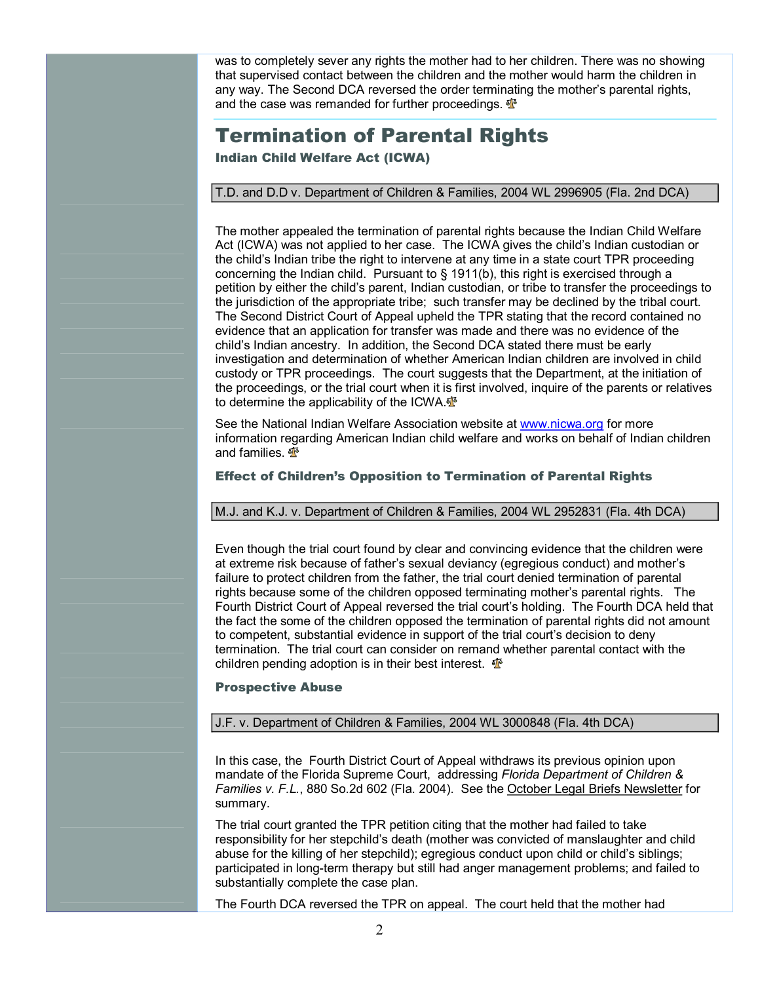was to completely sever any rights the mother had to her children. There was no showing that supervised contact between the children and the mother would harm the children in any way. The Second DCA reversed the order terminating the mother's parental rights, and the case was remanded for further proceedings.  $\mathbf{\Phi}$ 

# Termination of Parental Rights

Indian Child Welfare Act (ICWA)

#### T.D. and D.D v. Department of Children & Families, 2004 WL 2996905 (Fla. 2nd DCA)

The mother appealed the termination of parental rights because the Indian Child Welfare Act (ICWA) was not applied to her case. The ICWA gives the child's Indian custodian or the child's Indian tribe the right to intervene at any time in a state court TPR proceeding concerning the Indian child. Pursuant to § 1911(b), this right is exercised through a petition by either the child's parent, Indian custodian, or tribe to transfer the proceedings to the jurisdiction of the appropriate tribe; such transfer may be declined by the tribal court. The Second District Court of Appeal upheld the TPR stating that the record contained no evidence that an application for transfer was made and there was no evidence of the child's Indian ancestry. In addition, the Second DCA stated there must be early investigation and determination of whether American Indian children are involved in child custody or TPR proceedings. The court suggests that the Department, at the initiation of the proceedings, or the trial court when it is first involved, inquire of the parents or relatives to determine the applicability of the ICWA.<sup>®</sup>

See the National Indian Welfare Association website at [www.nicwa.org](http://www.nicwa.org/) for more information regarding American Indian child welfare and works on behalf of Indian children and families.  $\mathbf{\Phi}$ 

#### Effect of Children's Opposition to Termination of Parental Rights

#### M.J. and K.J. v. Department of Children & Families, 2004 WL 2952831 (Fla. 4th DCA)

Even though the trial court found by clear and convincing evidence that the children were at extreme risk because of father's sexual deviancy (egregious conduct) and mother's failure to protect children from the father, the trial court denied termination of parental rights because some of the children opposed terminating mother's parental rights. The Fourth District Court of Appeal reversed the trial court's holding. The Fourth DCA held that the fact the some of the children opposed the termination of parental rights did not amount to competent, substantial evidence in support of the trial court's decision to deny termination. The trial court can consider on remand whether parental contact with the children pending adoption is in their best interest.  $\mathbf{\Phi}$ 

#### Prospective Abuse

### J.F. v. Department of Children & Families, 2004 WL 3000848 (Fla. 4th DCA)

In this case, the Fourth District Court of Appeal withdraws its previous opinion upon mandate of the Florida Supreme Court, addressing *Florida Department of Children & Families v. F.L.*, 880 So.2d 602 (Fla. 2004). See the October Legal Briefs Newsletter for summary.

The trial court granted the TPR petition citing that the mother had failed to take responsibility for her stepchild's death (mother was convicted of manslaughter and child abuse for the killing of her stepchild); egregious conduct upon child or child's siblings; participated in long-term therapy but still had anger management problems; and failed to substantially complete the case plan.

The Fourth DCA reversed the TPR on appeal. The court held that the mother had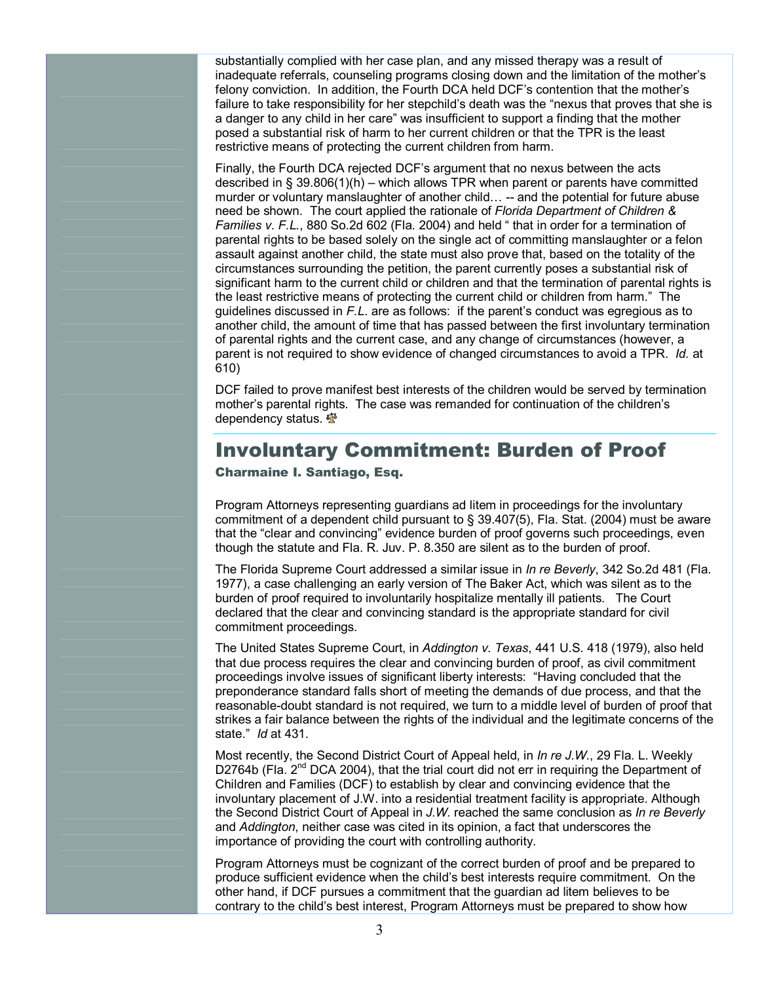substantially complied with her case plan, and any missed therapy was a result of inadequate referrals, counseling programs closing down and the limitation of the mother's felony conviction. In addition, the Fourth DCA held DCF's contention that the mother's failure to take responsibility for her stepchild's death was the "nexus that proves that she is a danger to any child in her care" was insufficient to support a finding that the mother posed a substantial risk of harm to her current children or that the TPR is the least restrictive means of protecting the current children from harm.

Finally, the Fourth DCA rejected DCF's argument that no nexus between the acts described in § 39.806(1)(h) – which allows TPR when parent or parents have committed murder or voluntary manslaughter of another child...  $-$  and the potential for future abuse need be shown. The court applied the rationale of *Florida Department of Children & Families v. F.L.*, 880 So.2d 602 (Fla. 2004) and held " that in order for a termination of parental rights to be based solely on the single act of committing manslaughter or a felon assault against another child, the state must also prove that, based on the totality of the circumstances surrounding the petition, the parent currently poses a substantial risk of significant harm to the current child or children and that the termination of parental rights is the least restrictive means of protecting the current child or children from harm." The guidelines discussed in *F.L*. are as follows: if the parent's conduct was egregious as to another child, the amount of time that has passed between the first involuntary termination of parental rights and the current case, and any change of circumstances (however, a parent is not required to show evidence of changed circumstances to avoid a TPR. *Id.* at 610)

DCF failed to prove manifest best interests of the children would be served by termination mother's parental rights. The case was remanded for continuation of the children's dependency status.  $\frac{dN}{dt}$ 

# Involuntary Commitment: Burden of Proof

Charmaine I. Santiago, Esq.

Program Attorneys representing guardians ad litem in proceedings for the involuntary commitment of a dependent child pursuant to § 39.407(5), Fla. Stat. (2004) must be aware that the "clear and convincing" evidence burden of proof governs such proceedings, even though the statute and Fla. R. Juv. P. 8.350 are silent as to the burden of proof.

The Florida Supreme Court addressed a similar issue in *In re Beverly*, 342 So.2d 481 (Fla. 1977), a case challenging an early version of The Baker Act, which was silent as to the burden of proof required to involuntarily hospitalize mentally ill patients. The Court declared that the clear and convincing standard is the appropriate standard for civil commitment proceedings.

The United States Supreme Court, in *Addington v. Texas*, 441 U.S. 418 (1979), also held that due process requires the clear and convincing burden of proof, as civil commitment proceedings involve issues of significant liberty interests: "Having concluded that the preponderance standard falls short of meeting the demands of due process, and that the reasonable-doubt standard is not required, we turn to a middle level of burden of proof that strikes a fair balance between the rights of the individual and the legitimate concerns of the state." *Id* at 431.

Most recently, the Second District Court of Appeal held, in *In re J.W.*, 29 Fla. L. Weekly D2764b (Fla. 2<sup>nd</sup> DCA 2004), that the trial court did not err in requiring the Department of Children and Families (DCF) to establish by clear and convincing evidence that the involuntary placement of J.W. into a residential treatment facility is appropriate. Although the Second District Court of Appeal in *J.W.* reached the same conclusion as *In re Beverly* and *Addington*, neither case was cited in its opinion, a fact that underscores the importance of providing the court with controlling authority.

Program Attorneys must be cognizant of the correct burden of proof and be prepared to produce sufficient evidence when the child's best interests require commitment. On the other hand, if DCF pursues a commitment that the guardian ad litem believes to be contrary to the child's best interest, Program Attorneys must be prepared to show how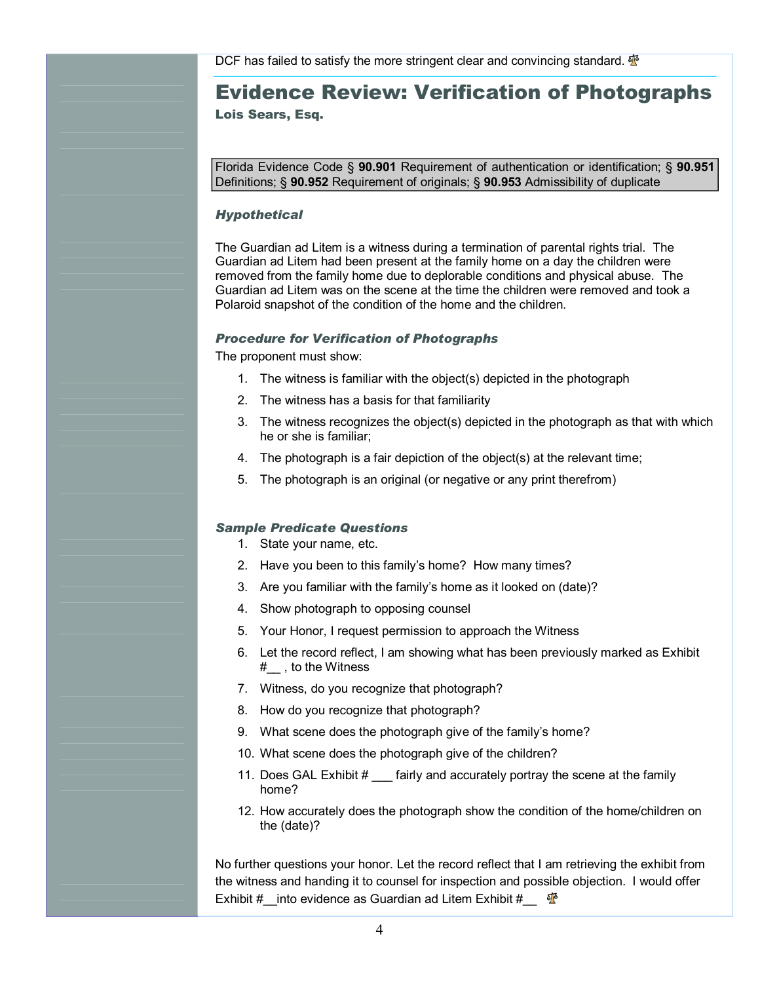# Evidence Review: Verification of Photographs Lois Sears, Esq.

Florida Evidence Code § **90.901** Requirement of authentication or identification; § **90.951** Definitions; § **90.952** Requirement of originals; § **90.953** Admissibility of duplicate

#### *Hypothetical*

The Guardian ad Litem is a witness during a termination of parental rights trial. The Guardian ad Litem had been present at the family home on a day the children were removed from the family home due to deplorable conditions and physical abuse. The Guardian ad Litem was on the scene at the time the children were removed and took a Polaroid snapshot of the condition of the home and the children.

#### *Procedure for Verification of Photographs*

The proponent must show:

- 1. The witness is familiar with the object(s) depicted in the photograph
- 2. The witness has a basis for that familiarity
- 3. The witness recognizes the object(s) depicted in the photograph as that with which he or she is familiar;
- 4. The photograph is a fair depiction of the object(s) at the relevant time;
- 5. The photograph is an original (or negative or any print therefrom)

#### *Sample Predicate Questions*

- 1. State your name, etc.
- 2. Have you been to this family's home? How many times?
- 3. Are you familiar with the family's home as it looked on (date)?
- 4. Show photograph to opposing counsel
- 5. Your Honor, I request permission to approach the Witness
- 6. Let the record reflect, I am showing what has been previously marked as Exhibit #\_\_ , to the Witness
- 7. Witness, do you recognize that photograph?
- 8. How do you recognize that photograph?
- 9. What scene does the photograph give of the family's home?
- 10. What scene does the photograph give of the children?
- 11. Does GAL Exhibit # fairly and accurately portray the scene at the family home?
- 12. How accurately does the photograph show the condition of the home/children on the (date)?

No further questions your honor. Let the record reflect that I am retrieving the exhibit from the witness and handing it to counsel for inspection and possible objection. I would offer Exhibit #\_\_into evidence as Guardian ad Litem Exhibit #\_\_  $\Phi$